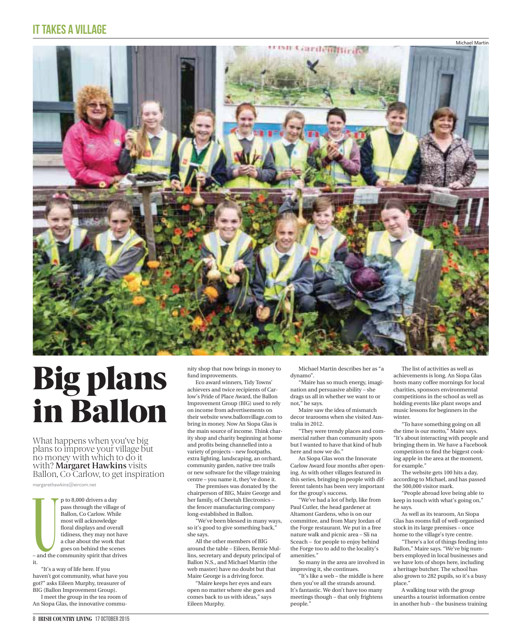

## **Big plans<br>in Ballon**

What happens when you've big<br>plans to improve your village but What happens when you've big plans to improve your village but no money with which to do it<br>with? **Margaret Hawkins** visits with? **Margaret Hawkins** visits<br>Ballon, Co Carlow, to get inspiration

margarethawkins@eircom.net

p to 8,000 drivers a day<br>
pass through the village of<br>
Ballon, Co Carlow. While<br>
most will acknowledge<br>
floral displays and overall<br>
tidiness, they may not have<br>
a clue about the work that<br>
goes on behind the scenes<br>
– and pass through the village of Ballon, Co Carlow. While most will acknowledge floral displays and overall tidiness, they may not have a clue about the work that goes on behind the scenes

it. "It's a way of life here. If you haven't got community, what have you got?" asks Eileen Murphy, treasurer of BIG (Ballon Improvement Group).

I meet the group in the tea room of An Siopa Glas, the innovative community shop that now brings in money to fund improvements.

Eco award winners, Tidy Towns' achievers and twice recipients of Carlow's Pride of Place Award, the Ballon Improvement Group (BIG) used to rely on income from advertisements on their website www.ballonvillage.com to bring in money. Now An Siopa Glas is the main source of income. Think charity shop and charity beginning at home and profits being channelled into a variety of projects – new footpaths, extra lighting, landscaping, an orchard, community garden, native tree trails or new software for the village training centre – you name it, they've done it.

The premises was donated by the chairperson of BIG, Maire George and her family, of Cheetah Electronics – the fencer manufacturing company long-established in Ballon.

"We've been blessed in many ways, so it's good to give something back," she says.

All the other members of BIG around the table – Eileen, Bernie Mullins, secretary and deputy principal of Ballon N.S., and Michael Martin (the web master) have no doubt but that Maire George is a driving force.

"Maire keeps her eyes and ears open no matter where she goes and comes back to us with ideas," says Eileen Murphy.

Michael Martin describes her as "a dynamo".

"Maire has so much energy, imagination and persuasive ability – she drags us all in whether we want to or not," he says.

Maire saw the idea of mismatch decor tearooms when she visited Australia in 2012.

"They were trendy places and commercial rather than community spots but I wanted to have that kind of hub here and now we do."

An Siopa Glas won the Innovate Carlow Award four months after opening. As with other villages featured in this series, bringing in people with different talents has been very important for the group's success.

"We've had a lot of help, like from Paul Cutler, the head gardener at Altamont Gardens, who is on our committee, and from Mary Jordan of the Forge restaurant. We put in a free nature walk and picnic area – Sli na Sceach – for people to enjoy behind the Forge too to add to the locality's amenities."

So many in the area are involved in improving it, she continues.

"It's like a web – the middle is here then you've all the strands around. It's fantastic. We don't have too many meetings though – that only frightens people."

The list of activities as well as achievements is long. An Siopa Glas hosts many coffee mornings for local charities, sponsors environmental competitions in the school as well as holding events like plant swops and music lessons for beginners in the winter.

"To have something going on all the time is our motto," Maire says. "It's about interacting with people and bringing them in. We have a Facebook competition to find the biggest cooking apple in the area at the moment, for example."

The website gets 100 hits a day, according to Michael, and has passed the 500,000 visitor mark.

"People abroad love being able to keep in touch with what's going on," he says.

As well as its tearoom, An Siopa Glas has rooms full of well-organised stock in its large premises – once home to the village's tyre centre.

"There's a lot of things feeding into Ballon," Maire says. "We've big numbers employed in local businesses and we have lots of shops here, including a heritage butcher. The school has also grown to 282 pupils, so it's a busy place."

A walking tour with the group unearths a tourist information centre in another hub – the business training